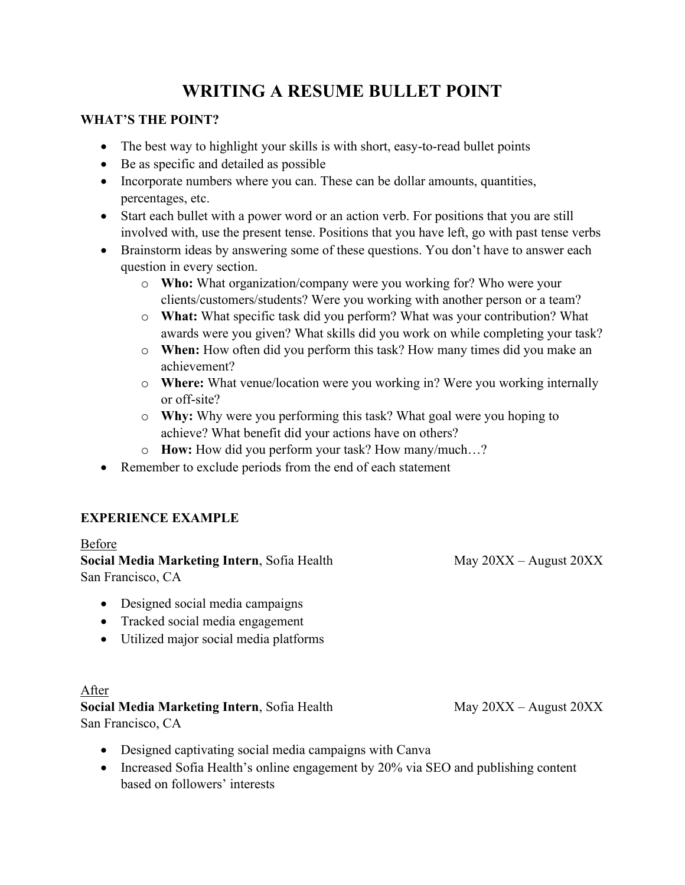# **WRITING A RESUME BULLET POINT**

## **WHAT'S THE POINT?**

- The best way to highlight your skills is with short, easy-to-read bullet points
- Be as specific and detailed as possible
- Incorporate numbers where you can. These can be dollar amounts, quantities, percentages, etc.
- Start each bullet with a power word or an action verb. For positions that you are still involved with, use the present tense. Positions that you have left, go with past tense verbs
- Brainstorm ideas by answering some of these questions. You don't have to answer each question in every section.
	- o **Who:** What organization/company were you working for? Who were your clients/customers/students? Were you working with another person or a team?
	- o **What:** What specific task did you perform? What was your contribution? What awards were you given? What skills did you work on while completing your task?
	- o **When:** How often did you perform this task? How many times did you make an achievement?
	- o **Where:** What venue/location were you working in? Were you working internally or off-site?
	- o **Why:** Why were you performing this task? What goal were you hoping to achieve? What benefit did your actions have on others?
	- o **How:** How did you perform your task? How many/much…?
- Remember to exclude periods from the end of each statement

## **EXPERIENCE EXAMPLE**

## Before

**Social Media Marketing Intern**, Sofia Health May 20XX – August 20XX San Francisco, CA

- Designed social media campaigns
- Tracked social media engagement
- Utilized major social media platforms

## After

## **Social Media Marketing Intern, Sofia Health May 20XX – August 20XX**

San Francisco, CA

- Designed captivating social media campaigns with Canva
- Increased Sofia Health's online engagement by 20% via SEO and publishing content based on followers' interests